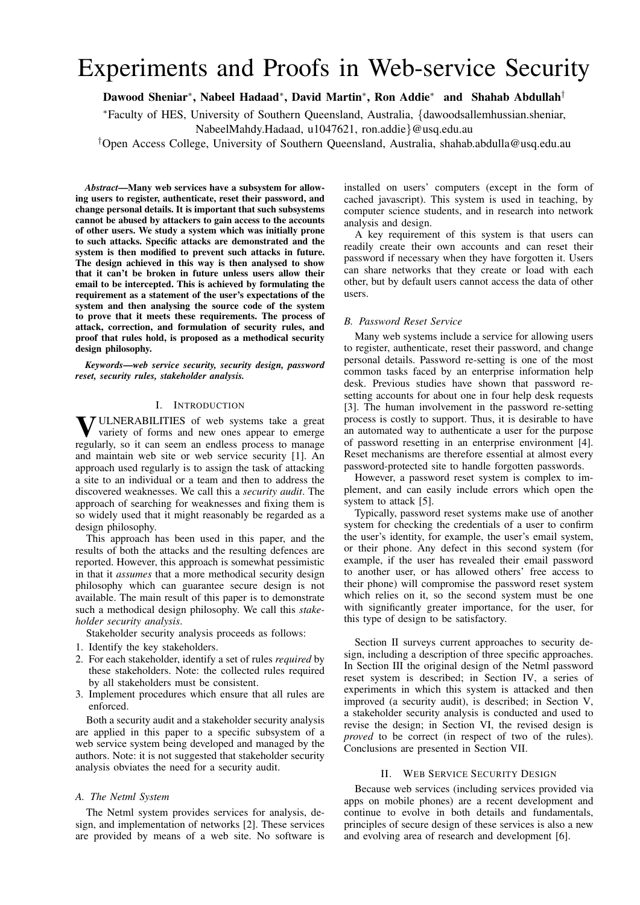# Experiments and Proofs in Web-service Security

Dawood Sheniar<sup>∗</sup>, Nabeel Hadaad<sup>∗</sup>, David Martin<sup>∗</sup>, Ron Addie<sup>∗</sup> and Shahab Abdullah<sup>†</sup>

<sup>∗</sup>Faculty of HES, University of Southern Queensland, Australia, {dawoodsallemhussian.sheniar,

NabeelMahdy.Hadaad, u1047621, ron.addie}@usq.edu.au

†Open Access College, University of Southern Queensland, Australia, shahab.abdulla@usq.edu.au

*Abstract*—Many web services have a subsystem for allowing users to register, authenticate, reset their password, and change personal details. It is important that such subsystems cannot be abused by attackers to gain access to the accounts of other users. We study a system which was initially prone to such attacks. Specific attacks are demonstrated and the system is then modified to prevent such attacks in future. The design achieved in this way is then analysed to show that it can't be broken in future unless users allow their email to be intercepted. This is achieved by formulating the requirement as a statement of the user's expectations of the system and then analysing the source code of the system to prove that it meets these requirements. The process of attack, correction, and formulation of security rules, and proof that rules hold, is proposed as a methodical security design philosophy.

*Keywords*—*web service security, security design, password reset, security rules, stakeholder analysis.*

## I. INTRODUCTION

**V** ULNERABILITIES of web systems take a great<br>variety of forms and new ones appear to emerge variety of forms and new ones appear to emerge regularly, so it can seem an endless process to manage and maintain web site or web service security [1]. An approach used regularly is to assign the task of attacking a site to an individual or a team and then to address the discovered weaknesses. We call this a *security audit*. The approach of searching for weaknesses and fixing them is so widely used that it might reasonably be regarded as a design philosophy.

This approach has been used in this paper, and the results of both the attacks and the resulting defences are reported. However, this approach is somewhat pessimistic in that it *assumes* that a more methodical security design philosophy which can guarantee secure design is not available. The main result of this paper is to demonstrate such a methodical design philosophy. We call this *stakeholder security analysis*.

Stakeholder security analysis proceeds as follows:

- 1. Identify the key stakeholders.
- 2. For each stakeholder, identify a set of rules *required* by these stakeholders. Note: the collected rules required by all stakeholders must be consistent.
- 3. Implement procedures which ensure that all rules are enforced.

Both a security audit and a stakeholder security analysis are applied in this paper to a specific subsystem of a web service system being developed and managed by the authors. Note: it is not suggested that stakeholder security analysis obviates the need for a security audit.

#### *A. The Netml System*

The Netml system provides services for analysis, design, and implementation of networks [2]. These services are provided by means of a web site. No software is

installed on users' computers (except in the form of cached javascript). This system is used in teaching, by computer science students, and in research into network analysis and design.

A key requirement of this system is that users can readily create their own accounts and can reset their password if necessary when they have forgotten it. Users can share networks that they create or load with each other, but by default users cannot access the data of other users.

#### *B. Password Reset Service*

Many web systems include a service for allowing users to register, authenticate, reset their password, and change personal details. Password re-setting is one of the most common tasks faced by an enterprise information help desk. Previous studies have shown that password resetting accounts for about one in four help desk requests [3]. The human involvement in the password re-setting process is costly to support. Thus, it is desirable to have an automated way to authenticate a user for the purpose of password resetting in an enterprise environment [4]. Reset mechanisms are therefore essential at almost every password-protected site to handle forgotten passwords.

However, a password reset system is complex to implement, and can easily include errors which open the system to attack [5].

Typically, password reset systems make use of another system for checking the credentials of a user to confirm the user's identity, for example, the user's email system, or their phone. Any defect in this second system (for example, if the user has revealed their email password to another user, or has allowed others' free access to their phone) will compromise the password reset system which relies on it, so the second system must be one with significantly greater importance, for the user, for this type of design to be satisfactory.

Section II surveys current approaches to security design, including a description of three specific approaches. In Section III the original design of the Netml password reset system is described; in Section IV, a series of experiments in which this system is attacked and then improved (a security audit), is described; in Section V, a stakeholder security analysis is conducted and used to revise the design; in Section VI, the revised design is *proved* to be correct (in respect of two of the rules). Conclusions are presented in Section VII.

#### II. WEB SERVICE SECURITY DESIGN

Because web services (including services provided via apps on mobile phones) are a recent development and continue to evolve in both details and fundamentals, principles of secure design of these services is also a new and evolving area of research and development [6].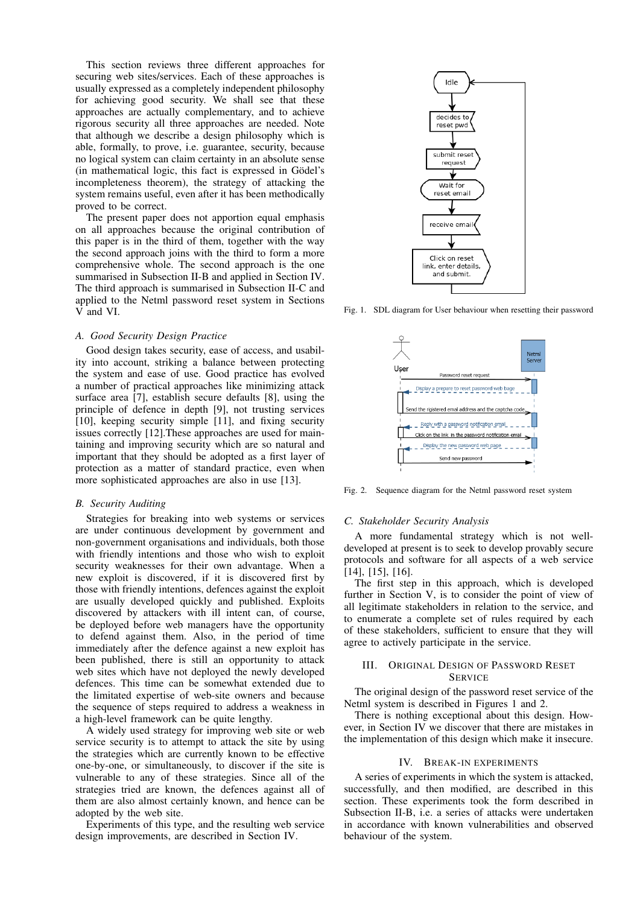This section reviews three different approaches for securing web sites/services. Each of these approaches is usually expressed as a completely independent philosophy for achieving good security. We shall see that these approaches are actually complementary, and to achieve rigorous security all three approaches are needed. Note that although we describe a design philosophy which is able, formally, to prove, i.e. guarantee, security, because no logical system can claim certainty in an absolute sense (in mathematical logic, this fact is expressed in Gödel's incompleteness theorem), the strategy of attacking the system remains useful, even after it has been methodically proved to be correct.

The present paper does not apportion equal emphasis on all approaches because the original contribution of this paper is in the third of them, together with the way the second approach joins with the third to form a more comprehensive whole. The second approach is the one summarised in Subsection II-B and applied in Section IV. The third approach is summarised in Subsection II-C and applied to the Netml password reset system in Sections V and VI.

#### *A. Good Security Design Practice*

Good design takes security, ease of access, and usability into account, striking a balance between protecting the system and ease of use. Good practice has evolved a number of practical approaches like minimizing attack surface area [7], establish secure defaults [8], using the principle of defence in depth [9], not trusting services [10], keeping security simple [11], and fixing security issues correctly [12].These approaches are used for maintaining and improving security which are so natural and important that they should be adopted as a first layer of protection as a matter of standard practice, even when more sophisticated approaches are also in use [13].

#### *B. Security Auditing*

Strategies for breaking into web systems or services are under continuous development by government and non-government organisations and individuals, both those with friendly intentions and those who wish to exploit security weaknesses for their own advantage. When a new exploit is discovered, if it is discovered first by those with friendly intentions, defences against the exploit are usually developed quickly and published. Exploits discovered by attackers with ill intent can, of course, be deployed before web managers have the opportunity to defend against them. Also, in the period of time immediately after the defence against a new exploit has been published, there is still an opportunity to attack web sites which have not deployed the newly developed defences. This time can be somewhat extended due to the limitated expertise of web-site owners and because the sequence of steps required to address a weakness in a high-level framework can be quite lengthy.

A widely used strategy for improving web site or web service security is to attempt to attack the site by using the strategies which are currently known to be effective one-by-one, or simultaneously, to discover if the site is vulnerable to any of these strategies. Since all of the strategies tried are known, the defences against all of them are also almost certainly known, and hence can be adopted by the web site.

Experiments of this type, and the resulting web service design improvements, are described in Section IV.



Fig. 1. SDL diagram for User behaviour when resetting their password



Fig. 2. Sequence diagram for the Netml password reset system

#### *C. Stakeholder Security Analysis*

A more fundamental strategy which is not welldeveloped at present is to seek to develop provably secure protocols and software for all aspects of a web service [14], [15], [16].

The first step in this approach, which is developed further in Section V, is to consider the point of view of all legitimate stakeholders in relation to the service, and to enumerate a complete set of rules required by each of these stakeholders, sufficient to ensure that they will agree to actively participate in the service.

#### III. ORIGINAL DESIGN OF PASSWORD RESET **SERVICE**

The original design of the password reset service of the Netml system is described in Figures 1 and 2.

There is nothing exceptional about this design. However, in Section IV we discover that there are mistakes in the implementation of this design which make it insecure.

#### IV. BREAK-IN EXPERIMENTS

A series of experiments in which the system is attacked, successfully, and then modified, are described in this section. These experiments took the form described in Subsection II-B, i.e. a series of attacks were undertaken in accordance with known vulnerabilities and observed behaviour of the system.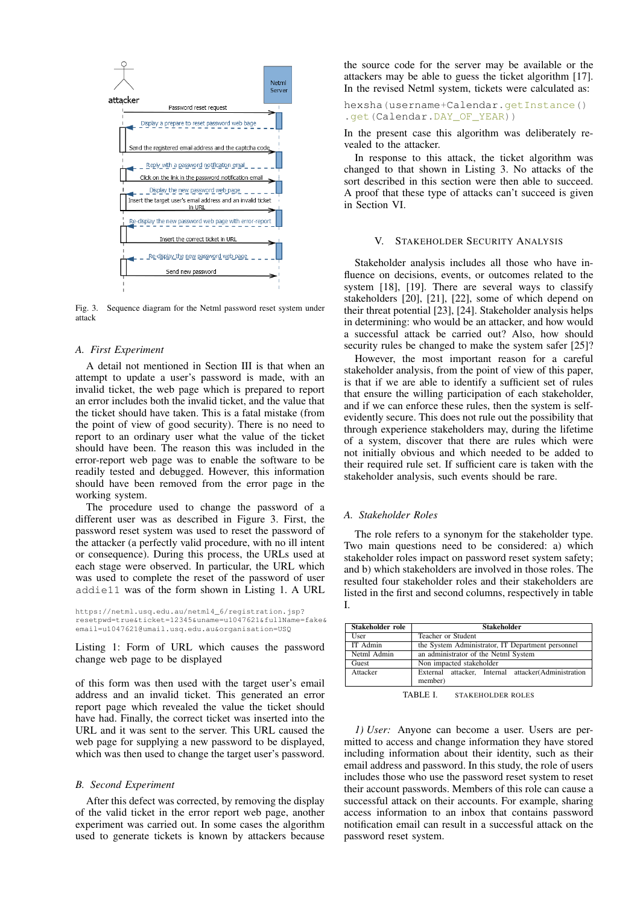

Fig. 3. Sequence diagram for the Netml password reset system under attack

#### *A. First Experiment*

A detail not mentioned in Section III is that when an attempt to update a user's password is made, with an invalid ticket, the web page which is prepared to report an error includes both the invalid ticket, and the value that the ticket should have taken. This is a fatal mistake (from the point of view of good security). There is no need to report to an ordinary user what the value of the ticket should have been. The reason this was included in the error-report web page was to enable the software to be readily tested and debugged. However, this information should have been removed from the error page in the working system.

The procedure used to change the password of a different user was as described in Figure 3. First, the password reset system was used to reset the password of the attacker (a perfectly valid procedure, with no ill intent or consequence). During this process, the URLs used at each stage were observed. In particular, the URL which was used to complete the reset of the password of user addie11 was of the form shown in Listing 1. A URL

```
https://netml.usq.edu.au/netml4_6/registration.jsp?
resetpwd=true&ticket=12345&uname=u1047621&fullName=fake&
email=u1047621@umail.usq.edu.au&organisation=USQ
```
Listing 1: Form of URL which causes the password change web page to be displayed

of this form was then used with the target user's email address and an invalid ticket. This generated an error report page which revealed the value the ticket should have had. Finally, the correct ticket was inserted into the URL and it was sent to the server. This URL caused the web page for supplying a new password to be displayed, which was then used to change the target user's password.

#### *B. Second Experiment*

After this defect was corrected, by removing the display of the valid ticket in the error report web page, another experiment was carried out. In some cases the algorithm used to generate tickets is known by attackers because

the source code for the server may be available or the attackers may be able to guess the ticket algorithm [17]. In the revised Netml system, tickets were calculated as:

hexsha(username+Calendar.getInstance() .get(Calendar.DAY\_OF\_YEAR))

In the present case this algorithm was deliberately revealed to the attacker.

In response to this attack, the ticket algorithm was changed to that shown in Listing 3. No attacks of the sort described in this section were then able to succeed. A proof that these type of attacks can't succeed is given in Section VI.

#### V. STAKEHOLDER SECURITY ANALYSIS

Stakeholder analysis includes all those who have influence on decisions, events, or outcomes related to the system [18], [19]. There are several ways to classify stakeholders [20], [21], [22], some of which depend on their threat potential [23], [24]. Stakeholder analysis helps in determining: who would be an attacker, and how would a successful attack be carried out? Also, how should security rules be changed to make the system safer [25]?

However, the most important reason for a careful stakeholder analysis, from the point of view of this paper, is that if we are able to identify a sufficient set of rules that ensure the willing participation of each stakeholder, and if we can enforce these rules, then the system is selfevidently secure. This does not rule out the possibility that through experience stakeholders may, during the lifetime of a system, discover that there are rules which were not initially obvious and which needed to be added to their required rule set. If sufficient care is taken with the stakeholder analysis, such events should be rare.

#### *A. Stakeholder Roles*

The role refers to a synonym for the stakeholder type. Two main questions need to be considered: a) which stakeholder roles impact on password reset system safety; and b) which stakeholders are involved in those roles. The resulted four stakeholder roles and their stakeholders are listed in the first and second columns, respectively in table I.

| Stakeholder role | <b>Stakeholder</b>                                              |  |  |
|------------------|-----------------------------------------------------------------|--|--|
| User             | Teacher or Student                                              |  |  |
| IT Admin         | the System Administrator, IT Department personnel               |  |  |
| Netml Admin      | an administrator of the Netml System                            |  |  |
| Guest            | Non impacted stakeholder                                        |  |  |
| Attacker         | External attacker, Internal attacker (Administration<br>member) |  |  |

TABLE I. STAKEHOLDER ROLES

*1) User:* Anyone can become a user. Users are permitted to access and change information they have stored including information about their identity, such as their email address and password. In this study, the role of users includes those who use the password reset system to reset their account passwords. Members of this role can cause a successful attack on their accounts. For example, sharing access information to an inbox that contains password notification email can result in a successful attack on the password reset system.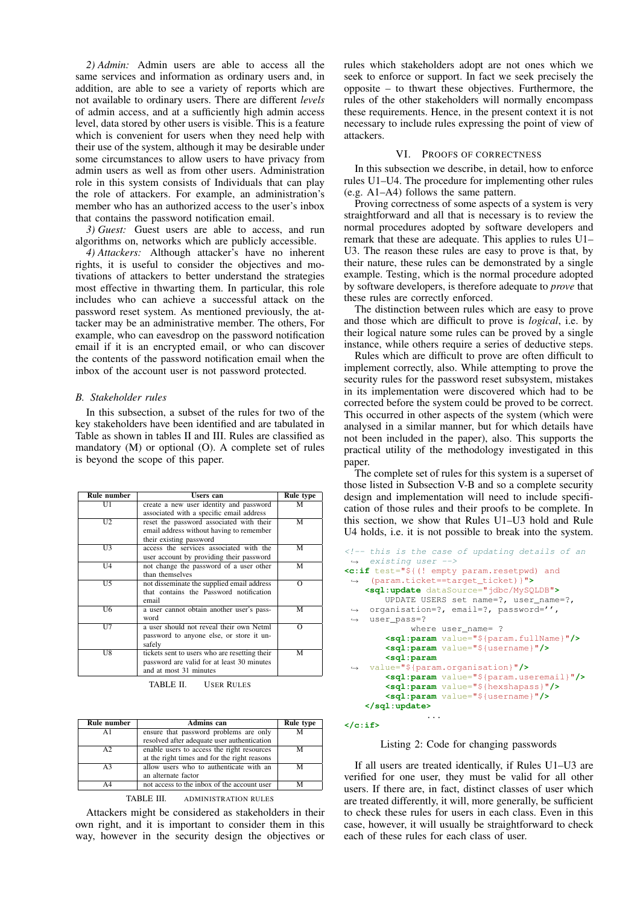*2) Admin:* Admin users are able to access all the same services and information as ordinary users and, in addition, are able to see a variety of reports which are not available to ordinary users. There are different *levels* of admin access, and at a sufficiently high admin access level, data stored by other users is visible. This is a feature which is convenient for users when they need help with their use of the system, although it may be desirable under some circumstances to allow users to have privacy from admin users as well as from other users. Administration role in this system consists of Individuals that can play the role of attackers. For example, an administration's member who has an authorized access to the user's inbox that contains the password notification email.

*3) Guest:* Guest users are able to access, and run algorithms on, networks which are publicly accessible.

*4) Attackers:* Although attacker's have no inherent rights, it is useful to consider the objectives and motivations of attackers to better understand the strategies most effective in thwarting them. In particular, this role includes who can achieve a successful attack on the password reset system. As mentioned previously, the attacker may be an administrative member. The others, For example, who can eavesdrop on the password notification email if it is an encrypted email, or who can discover the contents of the password notification email when the inbox of the account user is not password protected.

### *B. Stakeholder rules*

In this subsection, a subset of the rules for two of the key stakeholders have been identified and are tabulated in Table as shown in tables II and III. Rules are classified as mandatory (M) or optional (O). A complete set of rules is beyond the scope of this paper.

| <b>Rule number</b> | Users can                                     | Rule type |
|--------------------|-----------------------------------------------|-----------|
| U1                 | create a new user identity and password       | M         |
|                    | associated with a specific email address      |           |
| U <sub>2</sub>     | reset the password associated with their      | M         |
|                    | email address without having to remember      |           |
|                    | their existing password                       |           |
| U3                 | access the services associated with the       | M         |
|                    | user account by providing their password      |           |
| U <sub>4</sub>     | not change the password of a user other       | M         |
|                    | than themselves                               |           |
| U5                 | not disseminate the supplied email address    | Ω         |
|                    | that contains the Password notification       |           |
|                    | email                                         |           |
| U6                 | a user cannot obtain another user's pass-     | M         |
|                    | word                                          |           |
| U7                 | a user should not reveal their own Netml      | ∩         |
|                    | password to anyone else, or store it un-      |           |
|                    | safely                                        |           |
| U8                 | tickets sent to users who are resetting their | M         |
|                    | password are valid for at least 30 minutes    |           |
|                    | and at most 31 minutes                        |           |

TABLE II. USER RULES

| Rule number    | Admins can                                   | <b>Rule type</b> |
|----------------|----------------------------------------------|------------------|
| A1             | ensure that password problems are only       | м                |
|                | resolved after adequate user authentication  |                  |
|                | enable users to access the right resources   |                  |
|                | at the right times and for the right reasons |                  |
| A <sup>3</sup> | allow users who to authenticate with an      | м                |
|                | an alternate factor                          |                  |
| A4             | not access to the inbox of the account user  | м                |

TABLE III. ADMINISTRATION RULES

Attackers might be considered as stakeholders in their own right, and it is important to consider them in this way, however in the security design the objectives or

rules which stakeholders adopt are not ones which we seek to enforce or support. In fact we seek precisely the opposite – to thwart these objectives. Furthermore, the rules of the other stakeholders will normally encompass these requirements. Hence, in the present context it is not necessary to include rules expressing the point of view of attackers.

#### VI. PROOFS OF CORRECTNESS

In this subsection we describe, in detail, how to enforce rules U1–U4. The procedure for implementing other rules (e.g. A1–A4) follows the same pattern.

Proving correctness of some aspects of a system is very straightforward and all that is necessary is to review the normal procedures adopted by software developers and remark that these are adequate. This applies to rules U1– U3. The reason these rules are easy to prove is that, by their nature, these rules can be demonstrated by a single example. Testing, which is the normal procedure adopted by software developers, is therefore adequate to *prove* that these rules are correctly enforced.

The distinction between rules which are easy to prove and those which are difficult to prove is *logical*, i.e. by their logical nature some rules can be proved by a single instance, while others require a series of deductive steps.

Rules which are difficult to prove are often difficult to implement correctly, also. While attempting to prove the security rules for the password reset subsystem, mistakes in its implementation were discovered which had to be corrected before the system could be proved to be correct. This occurred in other aspects of the system (which were analysed in a similar manner, but for which details have not been included in the paper), also. This supports the practical utility of the methodology investigated in this paper.

The complete set of rules for this system is a superset of those listed in Subsection V-B and so a complete security design and implementation will need to include specification of those rules and their proofs to be complete. In this section, we show that Rules U1–U3 hold and Rule U4 holds, i.e. it is not possible to break into the system.

```
<!-- this is the case of updating details of an
,→ existing user -->
<c:if test="${(! empty param.resetpwd) and
 ,→ (param.ticket==target_ticket)}">
    <sql:update dataSource="jdbc/MySQLDB">
        UPDATE USERS set name=?, user_name=?,
 organisation=?, email=?, password='',
,→
   user pass=?
 \hookrightarrowwhere user_name= ?
        <sql:param value="${param.fullName}"/>
        <sql:param value="${username}"/>
        <sql:param
     ,→ value="${param.organisation}"/>
        <sql:param value="${param.useremail}"/>
        <sql:param value="${hexshapass}"/>
        <sql:param value="${username}"/>
    </sql:update>
                ...
```


#### Listing 2: Code for changing passwords

If all users are treated identically, if Rules U1–U3 are verified for one user, they must be valid for all other users. If there are, in fact, distinct classes of user which are treated differently, it will, more generally, be sufficient to check these rules for users in each class. Even in this case, however, it will usually be straightforward to check each of these rules for each class of user.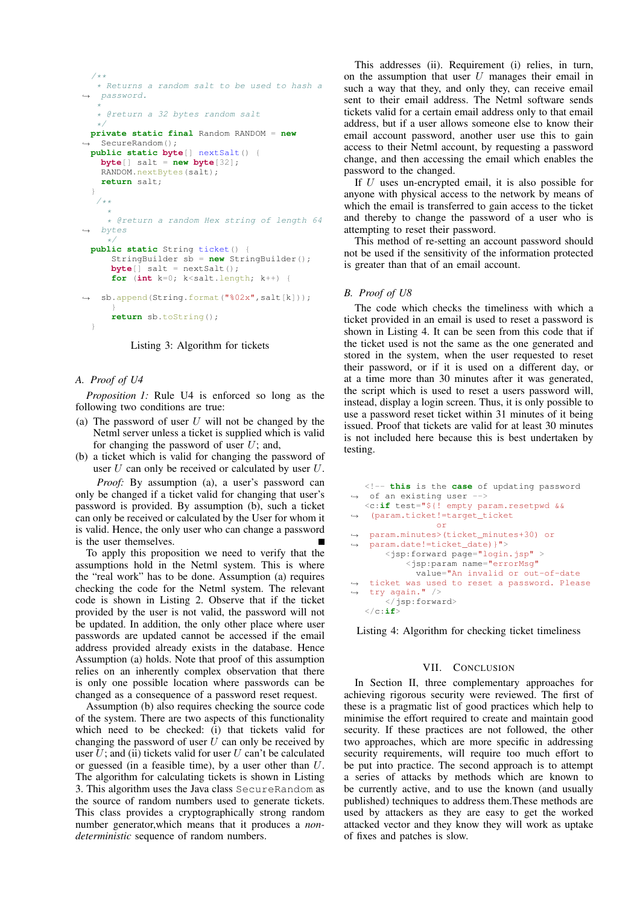```
/**
  * Returns a random salt to be used to hash a
  password.
   *
* @return a 32 bytes random salt
  */
private static final Random RANDOM = new
  SecureRandom();
 public static byte[] nextSalt() {
   byte[] salt = new byte[32];
   RANDOM.nextBytes(salt);
   return salt;
  }
   /**
     *
* @return a random Hex string of length 64
\leftrightarrow bytes
     */
 public static String ticket() {
      StringBuilder sb = new StringBuilder();
      byte[] salt = next Salt();for (int k=0; k<salt.length; k++) {
   ,→ sb.append(String.format("%02x",salt[k]));
      }
      return sb.toString();
  }
```


## *A. Proof of U4*

*Proposition 1:* Rule U4 is enforced so long as the following two conditions are true:

- (a) The password of user  $U$  will not be changed by the Netml server unless a ticket is supplied which is valid for changing the password of user  $U$ ; and,
- (b) a ticket which is valid for changing the password of user  $U$  can only be received or calculated by user  $U$ .

*Proof:* By assumption (a), a user's password can only be changed if a ticket valid for changing that user's password is provided. By assumption (b), such a ticket can only be received or calculated by the User for whom it is valid. Hence, the only user who can change a password is the user themselves.  $\blacksquare$ 

To apply this proposition we need to verify that the assumptions hold in the Netml system. This is where the "real work" has to be done. Assumption (a) requires checking the code for the Netml system. The relevant code is shown in Listing 2. Observe that if the ticket provided by the user is not valid, the password will not be updated. In addition, the only other place where user passwords are updated cannot be accessed if the email address provided already exists in the database. Hence Assumption (a) holds. Note that proof of this assumption relies on an inherently complex observation that there is only one possible location where passwords can be changed as a consequence of a password reset request.

Assumption (b) also requires checking the source code of the system. There are two aspects of this functionality which need to be checked: (i) that tickets valid for changing the password of user  $U$  can only be received by user  $U$ ; and (ii) tickets valid for user  $U$  can't be calculated or guessed (in a feasible time), by a user other than U. The algorithm for calculating tickets is shown in Listing 3. This algorithm uses the Java class SecureRandom as the source of random numbers used to generate tickets. This class provides a cryptographically strong random number generator,which means that it produces a *nondeterministic* sequence of random numbers.

This addresses (ii). Requirement (i) relies, in turn, on the assumption that user  $U$  manages their email in such a way that they, and only they, can receive email sent to their email address. The Netml software sends tickets valid for a certain email address only to that email address, but if a user allows someone else to know their email account password, another user use this to gain access to their Netml account, by requesting a password change, and then accessing the email which enables the password to the changed.

If  $U$  uses un-encrypted email, it is also possible for anyone with physical access to the network by means of which the email is transferred to gain access to the ticket and thereby to change the password of a user who is attempting to reset their password.

This method of re-setting an account password should not be used if the sensitivity of the information protected is greater than that of an email account.

### *B. Proof of U8*

The code which checks the timeliness with which a ticket provided in an email is used to reset a password is shown in Listing 4. It can be seen from this code that if the ticket used is not the same as the one generated and stored in the system, when the user requested to reset their password, or if it is used on a different day, or at a time more than 30 minutes after it was generated, the script which is used to reset a users password will, instead, display a login screen. Thus, it is only possible to use a password reset ticket within 31 minutes of it being issued. Proof that tickets are valid for at least 30 minutes is not included here because this is best undertaken by testing.

```
<!-- this is the case of updating password
  of an existing user -->
   <c:if test="${! empty param.resetpwd &&
   ,→ (param.ticket!=target_ticket
                  or
  param.minutes>(ticket_minutes+30) or
   param.date!=ticket_date)}">
\hookrightarrow,→
       <jsp:forward page="login.jsp" >
           <jsp:param name="errorMsg"
              value="An invalid or out-of-date
   ticket was used to reset a password. Please
   try again." />
\hookrightarrow\leftrightarrow</jsp:forward>
   \langle c:if>
```
Listing 4: Algorithm for checking ticket timeliness

## VII. CONCLUSION

In Section II, three complementary approaches for achieving rigorous security were reviewed. The first of these is a pragmatic list of good practices which help to minimise the effort required to create and maintain good security. If these practices are not followed, the other two approaches, which are more specific in addressing security requirements, will require too much effort to be put into practice. The second approach is to attempt a series of attacks by methods which are known to be currently active, and to use the known (and usually published) techniques to address them.These methods are used by attackers as they are easy to get the worked attacked vector and they know they will work as uptake of fixes and patches is slow.